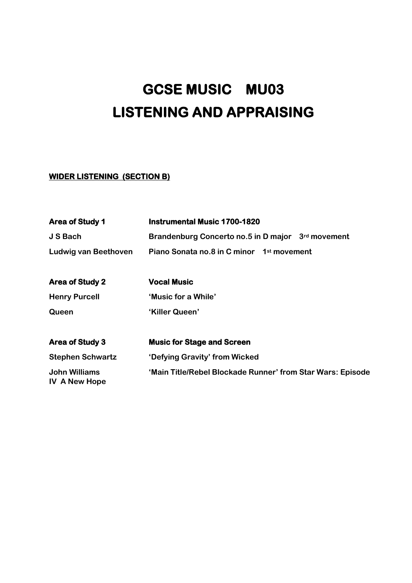# **GCSE MUSIC MU03 LISTENING AND APPRAISING**

## **WIDER LISTENING (SECTION B)**

| <b>Area of Study 1</b>                | <b>Instrumental Music 1700-1820</b>                        |
|---------------------------------------|------------------------------------------------------------|
| J S Bach                              | Brandenburg Concerto no.5 in D major 3rd movement          |
| <b>Ludwig van Beethoven</b>           | Piano Sonata no.8 in C minor 1 <sup>st</sup> movement      |
|                                       |                                                            |
| <b>Area of Study 2</b>                | <b>Vocal Music</b>                                         |
| <b>Henry Purcell</b>                  | 'Music for a While'                                        |
| Queen                                 | 'Killer Queen'                                             |
| <b>Area of Study 3</b>                | <b>Music for Stage and Screen</b>                          |
| <b>Stephen Schwartz</b>               | 'Defying Gravity' from Wicked                              |
| John Williams<br><b>IV A New Hope</b> | 'Main Title/Rebel Blockade Runner' from Star Wars: Episode |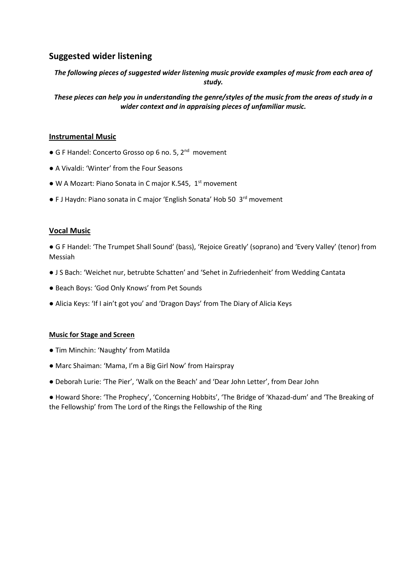## **Suggested wider listening**

*The following pieces of suggested wider listening music provide examples of music from each area of study.*

*These pieces can help you in understanding the genre/styles of the music from the areas of study in a wider context and in appraising pieces of unfamiliar music.*

## **Instrumental Music**

- G F Handel: Concerto Grosso op 6 no. 5, 2<sup>nd</sup> movement
- A Vivaldi: 'Winter' from the Four Seasons
- W A Mozart: Piano Sonata in C major K.545, 1<sup>st</sup> movement
- F J Haydn: Piano sonata in C major 'English Sonata' Hob 50 3<sup>rd</sup> movement

#### **Vocal Music**

● G F Handel: 'The Trumpet Shall Sound' (bass), 'Rejoice Greatly' (soprano) and 'Every Valley' (tenor) from Messiah

- J S Bach: 'Weichet nur, betrubte Schatten' and 'Sehet in Zufriedenheit' from Wedding Cantata
- Beach Boys: 'God Only Knows' from Pet Sounds
- Alicia Keys: 'If I ain't got you' and 'Dragon Days' from The Diary of Alicia Keys

#### **Music for Stage and Screen**

- Tim Minchin: 'Naughty' from Matilda
- Marc Shaiman: 'Mama, I'm a Big Girl Now' from Hairspray
- Deborah Lurie: 'The Pier', 'Walk on the Beach' and 'Dear John Letter', from Dear John

● Howard Shore: 'The Prophecy', 'Concerning Hobbits', 'The Bridge of 'Khazad-dum' and 'The Breaking of the Fellowship' from The Lord of the Rings the Fellowship of the Ring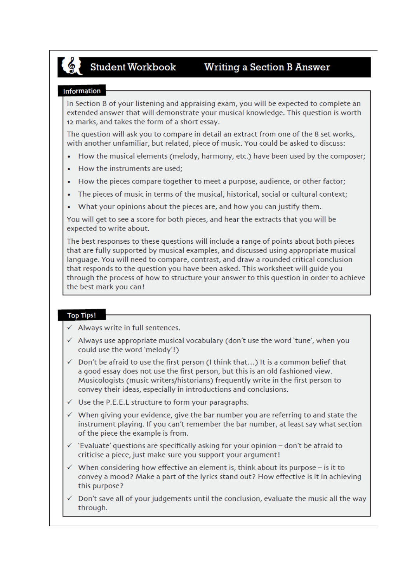

# **Student Workbook**

## **Writing a Section B Answer**

## Information

In Section B of your listening and appraising exam, you will be expected to complete an extended answer that will demonstrate your musical knowledge. This question is worth 12 marks, and takes the form of a short essay.

The question will ask you to compare in detail an extract from one of the 8 set works, with another unfamiliar, but related, piece of music. You could be asked to discuss:

- How the musical elements (melody, harmony, etc.) have been used by the composer;
- How the instruments are used;
- How the pieces compare together to meet a purpose, audience, or other factor;
- The pieces of music in terms of the musical, historical, social or cultural context:
- What your opinions about the pieces are, and how you can justify them.

You will get to see a score for both pieces, and hear the extracts that you will be expected to write about.

The best responses to these questions will include a range of points about both pieces that are fully supported by musical examples, and discussed using appropriate musical language. You will need to compare, contrast, and draw a rounded critical conclusion that responds to the question you have been asked. This worksheet will guide you through the process of how to structure your answer to this question in order to achieve the best mark you can!

## **Top Tips!**

- $\checkmark$  Always write in full sentences.
- $\checkmark$  Always use appropriate musical vocabulary (don't use the word 'tune', when you could use the word 'melody'!)
- √ Don't be afraid to use the first person (I think that...) It is a common belief that a good essay does not use the first person, but this is an old fashioned view. Musicologists (music writers/historians) frequently write in the first person to convey their ideas, especially in introductions and conclusions.
- √ Use the P.E.E.L structure to form your paragraphs.
- $\checkmark$  When giving your evidence, give the bar number you are referring to and state the instrument playing. If you can't remember the bar number, at least say what section of the piece the example is from.
- $\checkmark$  'Evaluate' questions are specifically asking for your opinion don't be afraid to criticise a piece, just make sure you support your argument!
- $\checkmark$  When considering how effective an element is, think about its purpose is it to convey a mood? Make a part of the lyrics stand out? How effective is it in achieving this purpose?
- $\checkmark$  Don't save all of your judgements until the conclusion, evaluate the music all the way through.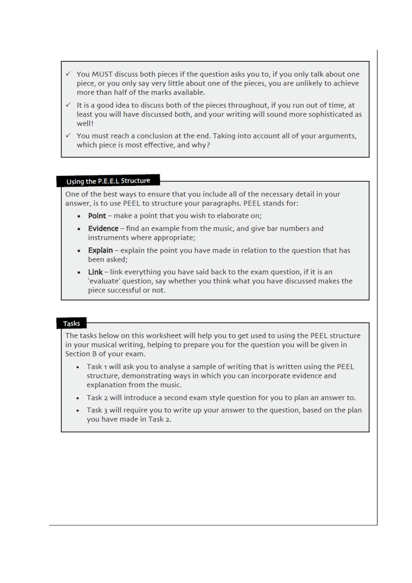- $\checkmark$  You MUST discuss both pieces if the question asks you to, if you only talk about one piece, or you only say very little about one of the pieces, you are unlikely to achieve more than half of the marks available.
- $\checkmark$  It is a good idea to discuss both of the pieces throughout, if you run out of time, at least you will have discussed both, and your writing will sound more sophisticated as well!
- $\checkmark$  You must reach a conclusion at the end. Taking into account all of your arguments, which piece is most effective, and why?

#### Using the P.E.E.L Structure

One of the best ways to ensure that you include all of the necessary detail in your answer, is to use PEEL to structure your paragraphs. PEEL stands for:

- . Point make a point that you wish to elaborate on;
- Evidence find an example from the music, and give bar numbers and instruments where appropriate;
- Explain explain the point you have made in relation to the question that has been asked:
- Link link everything you have said back to the exam question, if it is an 'evaluate' question, say whether you think what you have discussed makes the piece successful or not.

#### **Tasks**

The tasks below on this worksheet will help you to get used to using the PEEL structure in your musical writing, helping to prepare you for the question you will be given in Section B of your exam.

- Task 1 will ask you to analyse a sample of writing that is written using the PEEL structure, demonstrating ways in which you can incorporate evidence and explanation from the music.
- Task 2 will introduce a second exam style question for you to plan an answer to.
- Task 3 will require you to write up your answer to the question, based on the plan you have made in Task 2.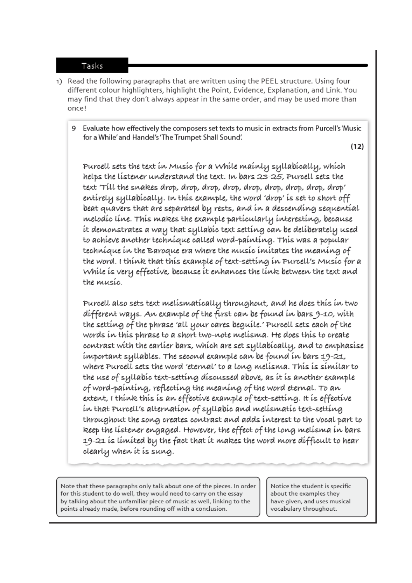## Tasks

- 1) Read the following paragraphs that are written using the PEEL structure. Using four different colour highlighters, highlight the Point, Evidence, Explanation, and Link. You may find that they don't always appear in the same order, and may be used more than once!
	- 9 Evaluate how effectively the composers set texts to music in extracts from Purcell's 'Music for a While' and Handel's 'The Trumpet Shall Sound'.

 $(12)$ 

Purcell sets the text in Music for a While mainly syllabically, which helps the listener understand the text. In bars 23-25, Purcell sets the text 'Till the snakes drop, drop, drop, drop, drop, drop, drop, drop, drop, drop' entirely syllabically. In this example, the word 'drop' is set to short off beat quavers that are separated by rests, and in a descending sequential melodíc líne. This makes the example particularly interesting, because it demonstrates a way that syllabic text setting can be deliberately used to achieve another technique called word-painting. This was a popular techníque ín the Baroque era where the musíc ímítates the meaning of the word. I think that this example of text-setting in Purcell's Music for a While is very effective, because it enhances the link between the text and the musíc.

Purcell also sets text melismatically throughout, and he does this in two different ways. An example of the first can be found in bars 9-10, with the setting of the phrase 'all your cares beguile.' Purcell sets each of the words in this phrase to a short two-note melisma. He does this to create contrast with the earlier bars, which are set syllabically, and to emphasise important syllables. The second example can be found in bars 19-21, where Purcell sets the word 'eternal' to a long melisma. This is similar to the use of syllabic text-setting discussed above, as it is another example of word-painting, reflecting the meaning of the word eternal. To an extent, I think this is an effective example of text-setting. It is effective in that Purcell's alternation of syllabic and melismatic text-setting throughout the song creates contrast and adds interest to the vocal part to keep the listener engaged. However, the effect of the long melisma in bars 19-21 is limited by the fact that it makes the word more difficult to hear clearly when it is sung.

Note that these paragraphs only talk about one of the pieces. In order for this student to do well, they would need to carry on the essay by talking about the unfamiliar piece of music as well, linking to the points already made, before rounding off with a conclusion.

Notice the student is specific about the examples they have given, and uses musical vocabulary throughout.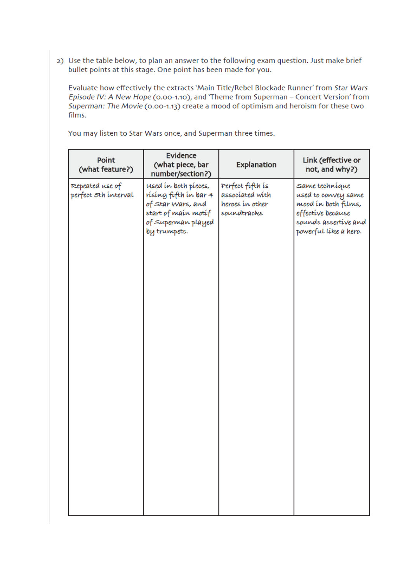2) Use the table below, to plan an answer to the following exam question. Just make brief bullet points at this stage. One point has been made for you.

Evaluate how effectively the extracts 'Main Title/Rebel Blockade Runner' from Star Wars Episode IV: A New Hope (0.00-1.10), and 'Theme from Superman - Concert Version' from Superman: The Movie (0.00-1.13) create a mood of optimism and heroism for these two films.

Evidence Point Link (effective or (what piece, bar **Explanation** (what feature?) not, and why?) number/section?) Repeated use of used in both pieces, Perfect fifth is Same techníque perfect 5th interval rising fifth in bar 4 associated with used to convey same heroes in other of star wars, and mood in both films, start of main motif soundtracks effective because of superman played sounds assertive and powerful líke a hero. by trumpets.

You may listen to Star Wars once, and Superman three times.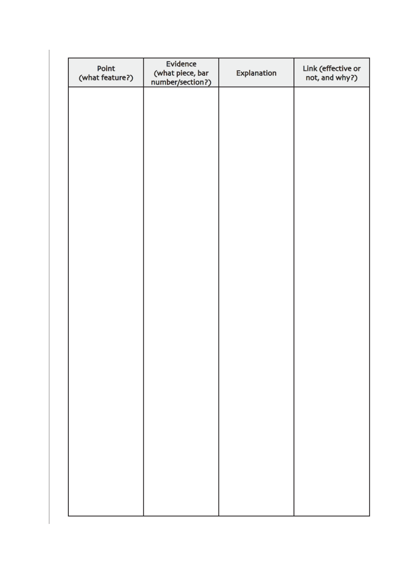| Point<br>(what feature?) | Evidence<br>(what piece, bar<br>number/section?) | Explanation | Link (effective or<br>not, and why?) |
|--------------------------|--------------------------------------------------|-------------|--------------------------------------|
|                          |                                                  |             |                                      |
|                          |                                                  |             |                                      |
|                          |                                                  |             |                                      |
|                          |                                                  |             |                                      |
|                          |                                                  |             |                                      |
|                          |                                                  |             |                                      |
|                          |                                                  |             |                                      |
|                          |                                                  |             |                                      |
|                          |                                                  |             |                                      |
|                          |                                                  |             |                                      |
|                          |                                                  |             |                                      |
|                          |                                                  |             |                                      |
|                          |                                                  |             |                                      |
|                          |                                                  |             |                                      |
|                          |                                                  |             |                                      |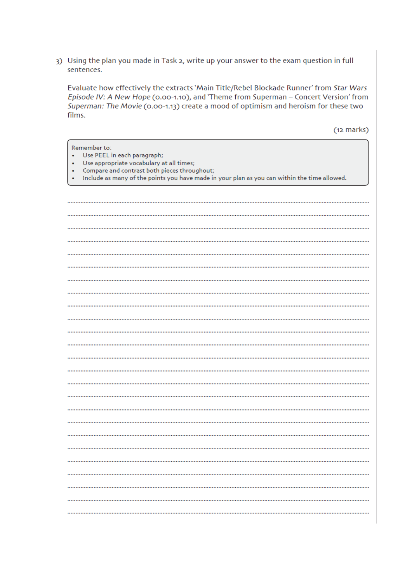3) Using the plan you made in Task 2, write up your answer to the exam question in full sentences.

Evaluate how effectively the extracts 'Main Title/Rebel Blockade Runner' from Star Wars Episode IV: A New Hope (0.00-1.10), and 'Theme from Superman - Concert Version' from Superman: The Movie (0.00-1.13) create a mood of optimism and heroism for these two films.

 $(12 \text{ marks})$ 

| Remember to:<br>Use PEEL in each paragraph;<br>Use appropriate vocabulary at all times;<br>٠<br>Compare and contrast both pieces throughout;<br>٠ |
|---------------------------------------------------------------------------------------------------------------------------------------------------|
| Include as many of the points you have made in your plan as you can within the time allowed.<br>٠                                                 |
|                                                                                                                                                   |
|                                                                                                                                                   |
|                                                                                                                                                   |
|                                                                                                                                                   |
|                                                                                                                                                   |
|                                                                                                                                                   |
|                                                                                                                                                   |
|                                                                                                                                                   |
|                                                                                                                                                   |
|                                                                                                                                                   |
|                                                                                                                                                   |
|                                                                                                                                                   |
|                                                                                                                                                   |
|                                                                                                                                                   |
|                                                                                                                                                   |
|                                                                                                                                                   |
|                                                                                                                                                   |
|                                                                                                                                                   |
|                                                                                                                                                   |
|                                                                                                                                                   |
|                                                                                                                                                   |
|                                                                                                                                                   |
|                                                                                                                                                   |
|                                                                                                                                                   |
|                                                                                                                                                   |
|                                                                                                                                                   |
|                                                                                                                                                   |
|                                                                                                                                                   |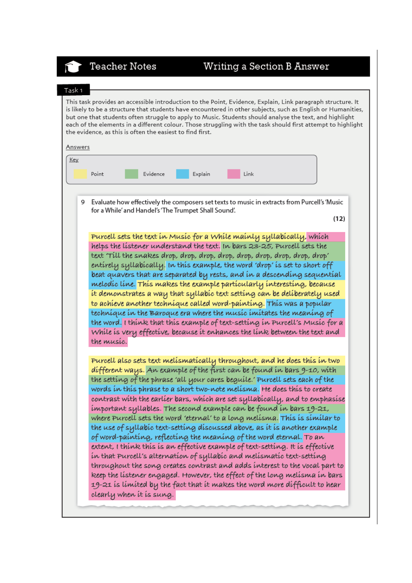# **Teacher Notes**

## Writing a Section B Answer

#### Task 1

This task provides an accessible introduction to the Point, Evidence, Explain, Link paragraph structure. It is likely to be a structure that students have encountered in other subjects, such as English or Humanities, but one that students often struggle to apply to Music. Students should analyse the text, and highlight each of the elements in a different colour. Those struggling with the task should first attempt to highlight the evidence, as this is often the easiest to find first.

| Answers |                                                                                                                                                                                                                                                                            |
|---------|----------------------------------------------------------------------------------------------------------------------------------------------------------------------------------------------------------------------------------------------------------------------------|
| Key     | Evidence<br>Link<br>Point<br>Explain                                                                                                                                                                                                                                       |
| 9       | Evaluate how effectively the composers set texts to music in extracts from Purcell's 'Music<br>for a While' and Handel's 'The Trumpet Shall Sound'.                                                                                                                        |
|         | (12)<br>Purcell sets the text in Music for a While mainly syllabically, which<br>helps the listener understand the text. In bars 23-25, Purcell sets the                                                                                                                   |
|         | text 'Till the snakes drop, drop, drop, drop, drop, drop, drop, drop, drop, drop'<br>entirely syllabically. In this example, the word 'drop' is set to short off<br>beat quavers that are separated by rests, and in a descending sequential                               |
|         | melodíc líne. Thís makes the example partícularly ínteresting, because<br>ít demonstrates a way that syllabíc text settíng can be delíberately used                                                                                                                        |
|         | to achíeve another techníque called word-paínting. This was a popular<br>techníque ín the Baroque era where the musíc imitates the meaning of<br>the word. I think that this example of text-setting in Purcell's Music for a                                              |
|         | While is very effective, because it enhances the link between the text and<br>the music.                                                                                                                                                                                   |
|         | Purcell also sets text melismatically throughout, and he does this in two<br>different ways. An example of the first can be found in bars 9-10, with                                                                                                                       |
|         | the setting of the phrase 'all your cares beguile.' Purcell sets each of the<br>words in this phrase to a short two-note melisma. He does this to create<br>and the property and the contract with the same of the same of the set of the set of the set of the set of the |

to emphasise which are set syt important syllables. The second example can be found in bars 19-21, where Purcell sets the word 'eternal' to a long melisma. This is similar to the use of syllabic text-setting discussed above, as it is another example of word-painting, reflecting the meaning of the word eternal. To an extent, I think this is an effective example of text-setting. It is effective in that Purcell's alternation of syllabic and melismatic text-setting throughout the song creates contrast and adds interest to the vocal part to keep the listener engaged. However, the effect of the long melisma in bars 19-21 is limited by the fact that it makes the word more difficult to hear

clearly when it is sung.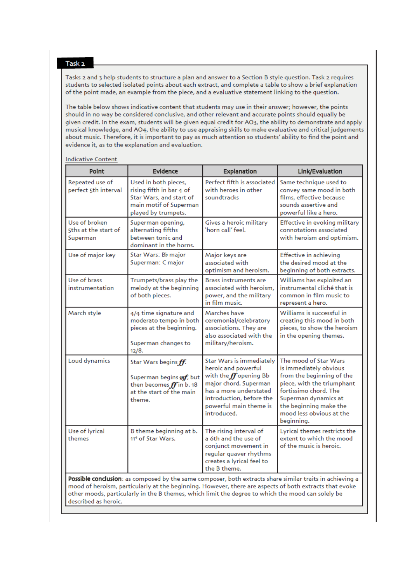#### Task<sub>2</sub>

Tasks 2 and 3 help students to structure a plan and answer to a Section B style question. Task 2 requires students to selected isolated points about each extract, and complete a table to show a brief explanation of the point made, an example from the piece, and a evaluative statement linking to the question.

The table below shows indicative content that students may use in their answer; however, the points should in no way be considered conclusive, and other relevant and accurate points should equally be given credit. In the exam, students will be given equal credit for AO3, the ability to demonstrate and apply musical knowledge, and AO4, the ability to use appraising skills to make evaluative and critical judgements about music. Therefore, it is important to pay as much attention so students' ability to find the point and evidence it, as to the explanation and evaluation.

| Point                                             | <b>Evidence</b>                                                                                                              | <b>Explanation</b>                                                                                                                                                                                  | Link/Evaluation                                                                                                                                                                                                                 |
|---------------------------------------------------|------------------------------------------------------------------------------------------------------------------------------|-----------------------------------------------------------------------------------------------------------------------------------------------------------------------------------------------------|---------------------------------------------------------------------------------------------------------------------------------------------------------------------------------------------------------------------------------|
| Repeated use of<br>perfect 5th interval           | Used in both pieces,<br>rising fifth in bar 4 of<br>Star Wars, and start of<br>main motif of Superman<br>played by trumpets. | Perfect fifth is associated<br>with heroes in other<br>soundtracks                                                                                                                                  | Same technique used to<br>convey same mood in both<br>films, effective because<br>sounds assertive and<br>powerful like a hero.                                                                                                 |
| Use of broken<br>5ths at the start of<br>Superman | Superman opening,<br>alternating fifths<br>between tonic and<br>dominant in the horns.                                       | Gives a heroic military<br>'horn call' feel.                                                                                                                                                        | Effective in evoking military<br>connotations associated<br>with heroism and optimism.                                                                                                                                          |
| Use of major key                                  | Star Wars: Bb major<br>Superman: C major                                                                                     | Major keys are<br>associated with<br>optimism and heroism.                                                                                                                                          | Effective in achieving<br>the desired mood at the<br>beginning of both extracts.                                                                                                                                                |
| Use of brass<br>instrumentation                   | Trumpets/brass play the<br>melody at the beginning<br>of both pieces.                                                        | <b>Brass instruments are</b><br>associated with heroism.<br>power, and the military<br>in film music.                                                                                               | Williams has exploited an<br>instrumental cliché that is<br>common in film music to<br>represent a hero.                                                                                                                        |
| March style                                       | 4/4 time signature and<br>moderato tempo in both<br>pieces at the beginning.<br>Superman changes to<br>12/8.                 | Marches have<br>ceremonial/celebratory<br>associations. They are<br>also associated with the<br>military/heroism.                                                                                   | Williams is successful in<br>creating this mood in both<br>pieces, to show the heroism<br>in the opening themes.                                                                                                                |
| Loud dynamics                                     | Star Wars begins ff.<br>Superman begins mf, but<br>then becomes $ff$ in b. 18<br>at the start of the main<br>theme.          | Star Wars is immediately<br>heroic and powerful<br>with the $ff$ opening Bb<br>major chord. Superman<br>has a more understated<br>introduction, before the<br>powerful main theme is<br>introduced. | The mood of Star Wars<br>is immediately obvious<br>from the beginning of the<br>piece, with the triumphant<br>fortissimo chord. The<br>Superman dynamics at<br>the beginning make the<br>mood less obvious at the<br>beginning. |
| Use of lyrical<br>themes                          | B theme beginning at b.<br>11 <sup>4</sup> of Star Wars.                                                                     | The rising interval of<br>a 6th and the use of<br>conjunct movement in<br>regular quaver rhythms<br>creates a lyrical feel to<br>the B theme.                                                       | Lyrical themes restricts the<br>extent to which the mood<br>of the music is heroic.                                                                                                                                             |
| described as heroic.                              |                                                                                                                              | other moods, particularly in the B themes, which limit the degree to which the mood can solely be                                                                                                   | Possible conclusion: as composed by the same composer, both extracts share similar traits in achieving a<br>mood of heroism, particularly at the beginning. However, there are aspects of both extracts that evoke              |

**Indicative Content**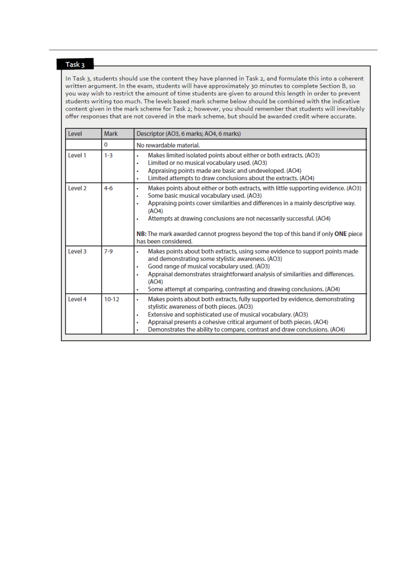#### Task<sub>3</sub>

In Task 3, students should use the content they have planned in Task 2, and formulate this into a coherent written argument. In the exam, students will have approximately 30 minutes to complete Section B, so you way wish to restrict the amount of time students are given to around this length in order to prevent students writing too much. The levels based mark scheme below should be combined with the indicative content given in the mark scheme for Task 2; however, you should remember that students will inevitably offer responses that are not covered in the mark scheme, but should be awarded credit where accurate.

| <b>Level</b>       | <b>Mark</b> | Descriptor (AO3, 6 marks; AO4, 6 marks)                                                                                                                                                                                                                                                                                                                                                                                             |  |
|--------------------|-------------|-------------------------------------------------------------------------------------------------------------------------------------------------------------------------------------------------------------------------------------------------------------------------------------------------------------------------------------------------------------------------------------------------------------------------------------|--|
|                    | 0           | No rewardable material.                                                                                                                                                                                                                                                                                                                                                                                                             |  |
| Level 1            | $1 - 3$     | Makes limited isolated points about either or both extracts. (AO3)<br>۰<br>Limited or no musical vocabulary used. (AO3)<br>٠<br>Appraising points made are basic and undeveloped. (AO4)<br>٠<br>Limited attempts to draw conclusions about the extracts. (AO4)<br>٠                                                                                                                                                                 |  |
| Level <sub>2</sub> | $4 - 6$     | Makes points about either or both extracts, with little supporting evidence. (AO3)<br>٠<br>Some basic musical vocabulary used. (AO3)<br>٠<br>Appraising points cover similarities and differences in a mainly descriptive way.<br>٠<br>(AO4)<br>Attempts at drawing conclusions are not necessarily successful. (AO4)<br>NB: The mark awarded cannot progress beyond the top of this band if only ONE piece<br>has been considered. |  |
| Level 3            | $7-9$       | Makes points about both extracts, using some evidence to support points made<br>٠<br>and demonstrating some stylistic awareness. (AO3)<br>Good range of musical vocabulary used. (AO3)<br>Appraisal demonstrates straightforward analysis of similarities and differences.<br>(AO4)<br>Some attempt at comparing, contrasting and drawing conclusions. (AO4)<br>٠                                                                   |  |
| Level 4            | $10 - 12$   | Makes points about both extracts, fully supported by evidence, demonstrating<br>٠<br>stylistic awareness of both pieces. (AO3)<br>Extensive and sophisticated use of musical vocabulary. (AO3)<br>٠<br>Appraisal presents a cohesive critical argument of both pieces. (AO4)<br>٠<br>Demonstrates the ability to compare, contrast and draw conclusions. (AO4)                                                                      |  |